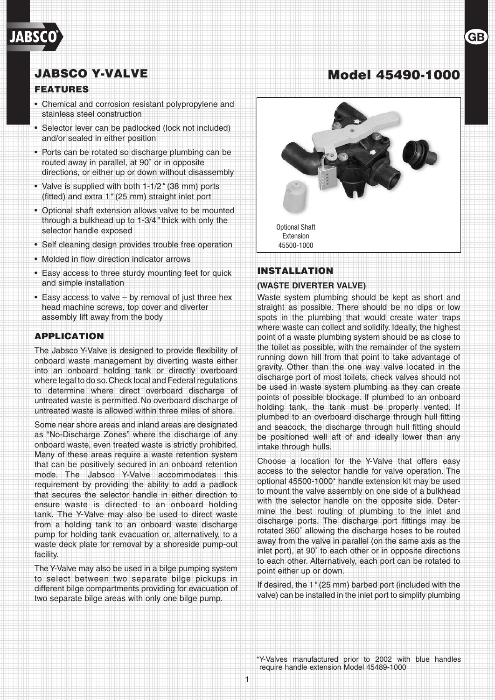# JABSCO Y-VALVE Model 45490-1000

## FEATURES

- • Chemical and corrosion resistant polypropylene and stainless steel construction
- Selector lever can be padlocked (lock not included) and/or sealed in either position
- Ports can be rotated so discharge plumbing can be routed away in parallel, at 90˚ or in opposite directions, or either up or down without disassembly
- • Valve is supplied with both 1-1/2*"* (38 mm) ports (fitted) and extra 1*"* (25 mm) straight inlet port
- Optional shaft extension allows valve to be mounted through a bulkhead up to 1-3/4*"* thick with only the selector handle exposed
- Self cleaning design provides trouble free operation
- Molded in flow direction indicator arrows
- Easy access to three sturdy mounting feet for quick and simple installation
- Easy access to valve by removal of just three hex head machine screws, top cover and diverter assembly lift away from the body

## APPLICATION

The Jabsco Y-Valve is designed to provide flexibility of onboard waste management by diverting waste either into an onboard holding tank or directly overboard where legal to do so. Check local and Federal regulations to determine where direct overboard discharge of untreated waste is permitted. No overboard discharge of untreated waste is allowed within three miles of shore.

Some near shore areas and inland areas are designated as "No-Discharge Zones" where the discharge of any onboard waste, even treated waste is strictly prohibited. Many of these areas require a waste retention system that can be positively secured in an onboard retention mode. The Jabsco Y-Valve accommodates this requirement by providing the ability to add a padlock that secures the selector handle in either direction to ensure waste is directed to an onboard holding tank. The Y-Valve may also be used to direct waste from a holding tank to an onboard waste discharge pump for holding tank evacuation or, alternatively, to a waste deck plate for removal by a shoreside pump-out facility.

The Y-Valve may also be used in a bilge pumping system to select between two separate bilge pickups in different bilge compartments providing for evacuation of two separate bilge areas with only one bilge pump.



GF

## INSTALLATION

#### **(Waste Diverter Valve)**

Waste system plumbing should be kept as short and straight as possible. There should be no dips or low spots in the plumbing that would create water traps where waste can collect and solidify. Ideally, the highest point of a waste plumbing system should be as close to the toilet as possible, with the remainder of the system running down hill from that point to take advantage of gravity. Other than the one way valve located in the discharge port of most toilets, check valves should not be used in waste system plumbing as they can create points of possible blockage. If plumbed to an onboard holding tank, the tank must be properly vented. If plumbed to an overboard discharge through hull fitting and seacock, the discharge through hull fitting should be positioned well aft of and ideally lower than any intake through hulls.

Choose a location for the Y-Valve that offers easy access to the selector handle for valve operation. The optional 45500-1000\* handle extension kit may be used to mount the valve assembly on one side of a bulkhead with the selector handle on the opposite side. Determine the best routing of plumbing to the inlet and discharge ports. The discharge port fittings may be rotated 360˚ allowing the discharge hoses to be routed away from the valve in parallel (on the same axis as the inlet port), at 90˚ to each other or in opposite directions to each other. Alternatively, each port can be rotated to point either up or down.

If desired, the 1*"* (25 mm) barbed port (included with the valve) can be installed in the inlet port to simplify plumbing

\*Y-Valves manufactured prior to 2002 with blue handles require handle extension Model 45489-1000

1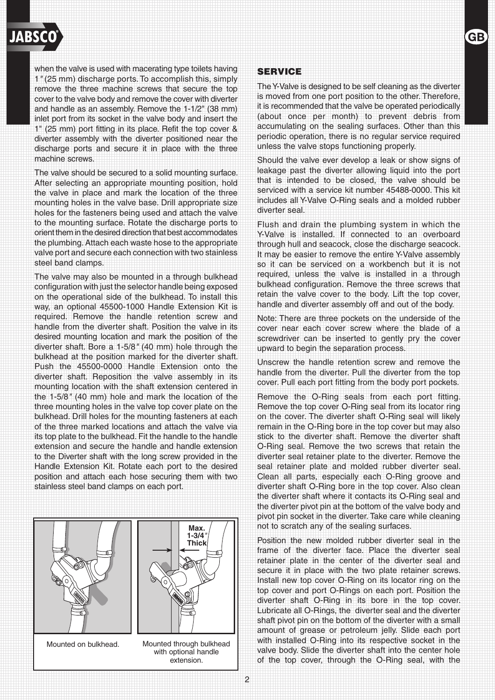

when the valve is used with macerating type toilets having 1*"* (25 mm) discharge ports.To accomplish this, simply remove the three machine screws that secure the top cover to the valve body and remove the cover with diverter and handle as an assembly. Remove the 1-1/2" (38 mm) inlet port from its socket in the valve body and insert the 1" (25 mm) port fitting in its place. Refit the top cover & diverter assembly with the diverter positioned near the discharge ports and secure it in place with the three machine screws.

The valve should be secured to a solid mounting surface. After selecting an appropriate mounting position, hold the valve in place and mark the location of the three mounting holes in the valve base. Drill appropriate size holes for the fasteners being used and attach the valve to the mounting surface. Rotate the discharge ports to orient them in the desired direction that best accommodates the plumbing.Attach each waste hose to the appropriate valve port and secure each connection with two stainless steel band clamps.

The valve may also be mounted in a through bulkhead configuration with just the selector handle being exposed on the operational side of the bulkhead. To install this way, an optional 45500-1000 Handle Extension Kit is required. Remove the handle retention screw and handle from the diverter shaft. Position the valve in its desired mounting location and mark the position of the diverter shaft. Bore a 1-5/8*"* (40 mm) hole through the bulkhead at the position marked for the diverter shaft. Push the 45500-0000 Handle Extension onto the diverter shaft. Reposition the valve assembly in its mounting location with the shaft extension centered in the 1-5/8*"* (40 mm) hole and mark the location of the three mounting holes in the valve top cover plate on the bulkhead. Drill holes for the mounting fasteners at each of the three marked locations and attach the valve via its top plate to the bulkhead. Fit the handle to the handle extension and secure the handle and handle extension to the Diverter shaft with the long screw provided in the Handle Extension Kit. Rotate each port to the desired position and attach each hose securing them with two stainless steel band clamps on each port.



Mounted on bulkhead.



Mounted through bulkhead with optional handle extension.

#### SERVICE

The Y-Valve is designed to be self cleaning as the diverter is moved from one port position to the other. Therefore, it is recommended that the valve be operated periodically (about once per month) to prevent debris from accumulating on the sealing surfaces. Other than this periodic operation, there is no regular service required unless the valve stops functioning properly.

GE

Should the valve ever develop a leak or show signs of leakage past the diverter allowing liquid into the port that is intended to be closed, the valve should be serviced with a service kit number 45488-0000. This kit includes all Y-Valve O-Ring seals and a molded rubber diverter seal.

Flush and drain the plumbing system in which the Y-Valve is installed. If connected to an overboard through hull and seacock, close the discharge seacock. It may be easier to remove the entire Y-Valve assembly so it can be serviced on a workbench but it is not required, unless the valve is installed in a through bulkhead configuration. Remove the three screws that retain the valve cover to the body. Lift the top cover, handle and diverter assembly off and out of the body.

Note: There are three pockets on the underside of the cover near each cover screw where the blade of a screwdriver can be inserted to gently pry the cover upward to begin the separation process.

Unscrew the handle retention screw and remove the handle from the diverter. Pull the diverter from the top cover. Pull each port fitting from the body port pockets.

Remove the O-Ring seals from each port fitting. Remove the top cover O-Ring seal from its locator ring on the cover. The diverter shaft O-Ring seal will likely remain in the O-Ring bore in the top cover but may also stick to the diverter shaft. Remove the diverter shaft O-Ring seal. Remove the two screws that retain the diverter seal retainer plate to the diverter. Remove the seal retainer plate and molded rubber diverter seal. Clean all parts, especially each O-Ring groove and diverter shaft O-Ring bore in the top cover. Also clean the diverter shaft where it contacts its O-Ring seal and the diverter pivot pin at the bottom of the valve body and pivot pin socket in the diverter. Take care while cleaning not to scratch any of the sealing surfaces.

Position the new molded rubber diverter seal in the frame of the diverter face. Place the diverter seal retainer plate in the center of the diverter seal and secure it in place with the two plate retainer screws. Install new top cover O-Ring on its locator ring on the top cover and port O-Rings on each port. Position the diverter shaft O-Ring in its bore in the top cover. Lubricate all O-Rings, the diverter seal and the diverter shaft pivot pin on the bottom of the diverter with a small amount of grease or petroleum jelly. Slide each port with installed O-Ring into its respective socket in the valve body. Slide the diverter shaft into the center hole of the top cover, through the O-Ring seal, with the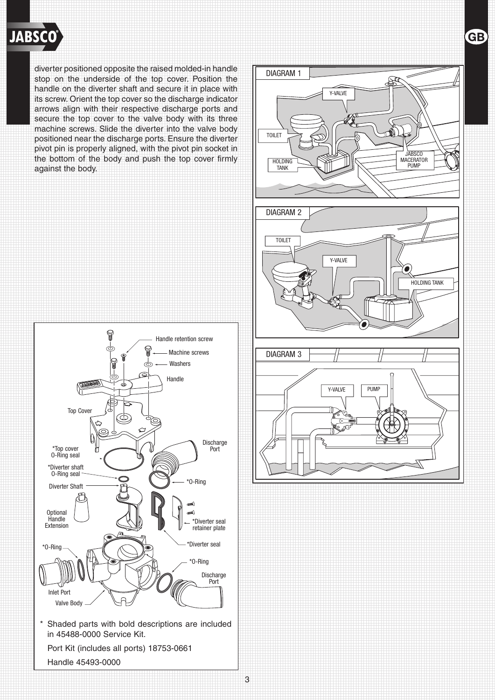

diverter positioned opposite the raised molded-in handle stop on the underside of the top cover. Position the handle on the diverter shaft and secure it in place with its screw. Orient the top cover so the discharge indicator arrows align with their respective discharge ports and secure the top cover to the valve body with its three machine screws. Slide the diverter into the valve body positioned near the discharge ports. Ensure the diverter pivot pin is properly aligned, with the pivot pin socket in the bottom of the body and push the top cover firmly against the body.



DIAGRAM 1 Y-VALVE HOLDING **TANK** TOILET JABSCO MACERATOR PUMP Y-VALVE TOILET HOLDING TANK DIAGRAM 2 DIAGRAM 3 Y-VALVE | PUMP

**GB** 

3